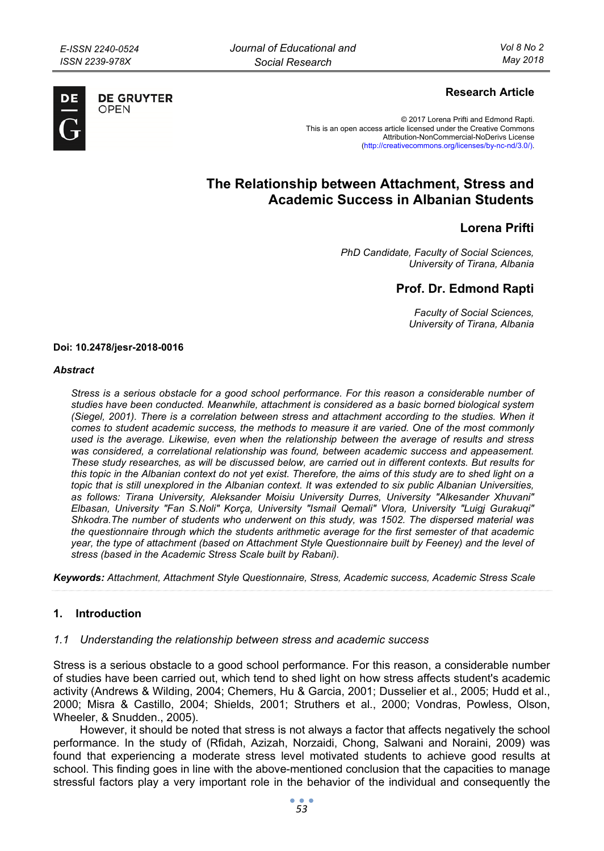

**DE GRUYTER** OPFN

## **Research Article**

© 2017 Lorena Prifti and Edmond Rapti. This is an open access article licensed under the Creative Commons Attribution-NonCommercial-NoDerivs License (http://creativecommons.org/licenses/by-nc-nd/3.0/).

# **The Relationship between Attachment, Stress and Academic Success in Albanian Students**

## **Lorena Prifti**

*PhD Candidate, Faculty of Social Sciences, University of Tirana, Albania* 

## **Prof. Dr. Edmond Rapti**

*Faculty of Social Sciences, University of Tirana, Albania* 

#### **Doi: 10.2478/jesr-2018-0016**

#### *Abstract*

*Stress is a serious obstacle for a good school performance. For this reason a considerable number of studies have been conducted. Meanwhile, attachment is considered as a basic borned biological system (Siegel, 2001). There is a correlation between stress and attachment according to the studies. When it comes to student academic success, the methods to measure it are varied. One of the most commonly used is the average. Likewise, even when the relationship between the average of results and stress was considered, a correlational relationship was found, between academic success and appeasement. These study researches, as will be discussed below, are carried out in different contexts. But results for this topic in the Albanian context do not yet exist. Therefore, the aims of this study are to shed light on a topic that is still unexplored in the Albanian context. It was extended to six public Albanian Universities, as follows: Tirana University, Aleksander Moisiu University Durres, University "Alkesander Xhuvani" Elbasan, University "Fan S.Noli" Korça, University "Ismail Qemali" Vlora, University "Luigj Gurakuqi" Shkodra.The number of students who underwent on this study, was 1502. The dispersed material was the questionnaire through which the students arithmetic average for the first semester of that academic year, the type of attachment (based on Attachment Style Questionnaire built by Feeney) and the level of stress (based in the Academic Stress Scale built by Rabani).* 

*Keywords: Attachment, Attachment Style Questionnaire, Stress, Academic success, Academic Stress Scale* 

### **1. Introduction**

### *1.1 Understanding the relationship between stress and academic success*

Stress is a serious obstacle to a good school performance. For this reason, a considerable number of studies have been carried out, which tend to shed light on how stress affects student's academic activity (Andrews & Wilding, 2004; Chemers, Hu & Garcia, 2001; Dusselier et al., 2005; Hudd et al., 2000; Misra & Castillo, 2004; Shields, 2001; Struthers et al., 2000; Vondras, Powless, Olson, Wheeler, & Snudden., 2005).

However, it should be noted that stress is not always a factor that affects negatively the school performance. In the study of (Rfidah, Azizah, Norzaidi, Chong, Salwani and Noraini, 2009) was found that experiencing a moderate stress level motivated students to achieve good results at school. This finding goes in line with the above-mentioned conclusion that the capacities to manage stressful factors play a very important role in the behavior of the individual and consequently the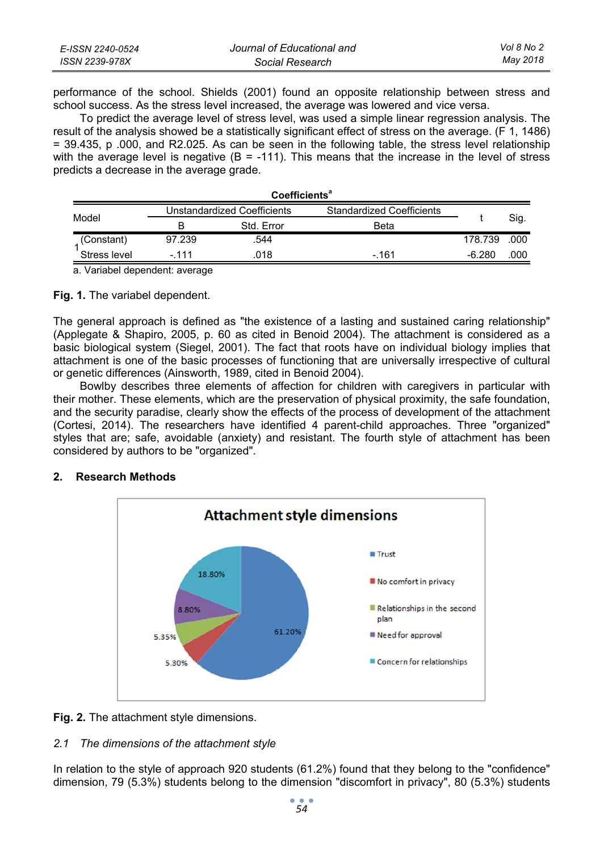| E-ISSN 2240-0524 | Journal of Educational and | Vol 8 No 2 |
|------------------|----------------------------|------------|
| ISSN 2239-978X   | Social Research            | May 2018   |

performance of the school. Shields (2001) found an opposite relationship between stress and school success. As the stress level increased, the average was lowered and vice versa.

To predict the average level of stress level, was used a simple linear regression analysis. The result of the analysis showed be a statistically significant effect of stress on the average. (F 1, 1486) = 39.435, p .000, and R2.025. As can be seen in the following table, the stress level relationship with the average level is negative  $(B = -111)$ . This means that the increase in the level of stress predicts a decrease in the average grade.

| <b>Coefficients<sup>a</sup></b> |                                                                        |            |       |          |      |
|---------------------------------|------------------------------------------------------------------------|------------|-------|----------|------|
| Model                           | <b>Unstandardized Coefficients</b><br><b>Standardized Coefficients</b> |            |       |          |      |
|                                 |                                                                        | Std. Error | Beta  |          | Sig. |
| (Constant)                      | 97.239                                                                 | .544       |       | 178.739  | .000 |
| Stress level                    | - 111                                                                  | .018       | - 161 | $-6.280$ | .000 |
|                                 |                                                                        |            |       |          |      |

a. Variabel dependent: average

## **Fig. 1.** The variabel dependent.

The general approach is defined as "the existence of a lasting and sustained caring relationship" (Applegate & Shapiro, 2005, p. 60 as cited in Benoid 2004). The attachment is considered as a basic biological system (Siegel, 2001). The fact that roots have on individual biology implies that attachment is one of the basic processes of functioning that are universally irrespective of cultural or genetic differences (Ainsworth, 1989, cited in Benoid 2004).

Bowlby describes three elements of affection for children with caregivers in particular with their mother. These elements, which are the preservation of physical proximity, the safe foundation, and the security paradise, clearly show the effects of the process of development of the attachment (Cortesi, 2014). The researchers have identified 4 parent-child approaches. Three "organized" styles that are; safe, avoidable (anxiety) and resistant. The fourth style of attachment has been considered by authors to be "organized".



## **2. Research Methods**

**Fig. 2.** The attachment style dimensions.

## *2.1 The dimensions of the attachment style*

In relation to the style of approach 920 students (61.2%) found that they belong to the "confidence" dimension, 79 (5.3%) students belong to the dimension "discomfort in privacy", 80 (5.3%) students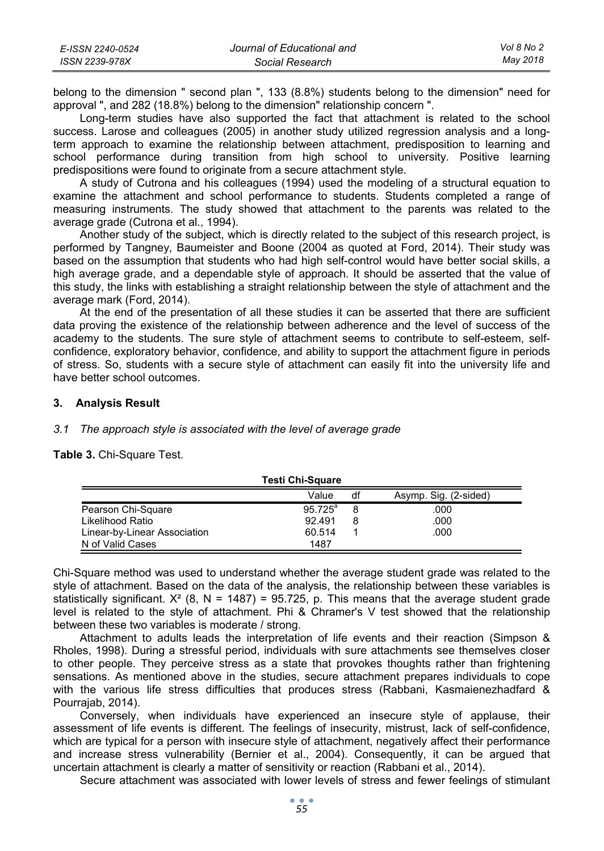| E-ISSN 2240-0524 | Journal of Educational and | Vol 8 No 2 |
|------------------|----------------------------|------------|
| ISSN 2239-978X   | Social Research            | May 2018   |

belong to the dimension " second plan ", 133 (8.8%) students belong to the dimension" need for approval ", and 282 (18.8%) belong to the dimension" relationship concern ".

Long-term studies have also supported the fact that attachment is related to the school success. Larose and colleagues (2005) in another study utilized regression analysis and a longterm approach to examine the relationship between attachment, predisposition to learning and school performance during transition from high school to university. Positive learning predispositions were found to originate from a secure attachment style.

A study of Cutrona and his colleagues (1994) used the modeling of a structural equation to examine the attachment and school performance to students. Students completed a range of measuring instruments. The study showed that attachment to the parents was related to the average grade (Cutrona et al., 1994).

Another study of the subject, which is directly related to the subject of this research project, is performed by Tangney, Baumeister and Boone (2004 as quoted at Ford, 2014). Their study was based on the assumption that students who had high self-control would have better social skills, a high average grade, and a dependable style of approach. It should be asserted that the value of this study, the links with establishing a straight relationship between the style of attachment and the average mark (Ford, 2014).

At the end of the presentation of all these studies it can be asserted that there are sufficient data proving the existence of the relationship between adherence and the level of success of the academy to the students. The sure style of attachment seems to contribute to self-esteem, selfconfidence, exploratory behavior, confidence, and ability to support the attachment figure in periods of stress. So, students with a secure style of attachment can easily fit into the university life and have better school outcomes.

### **3. Analysis Result**

*3.1 The approach style is associated with the level of average grade* 

**Table 3.** Chi-Square Test.

|                              | <b>Testi Chi-Square</b> |    |                       |
|------------------------------|-------------------------|----|-----------------------|
|                              | Value                   | df | Asymp. Sig. (2-sided) |
| Pearson Chi-Square           | $95.725^{\circ}$        |    | .000                  |
| Likelihood Ratio             | 92.491                  |    | .000                  |
| Linear-by-Linear Association | 60.514                  |    | .000                  |
| N of Valid Cases             | 1487                    |    |                       |

Chi-Square method was used to understand whether the average student grade was related to the style of attachment. Based on the data of the analysis, the relationship between these variables is statistically significant.  $X^2$  (8, N = 1487) = 95.725, p. This means that the average student grade level is related to the style of attachment. Phi & Chramer's V test showed that the relationship between these two variables is moderate / strong.

Attachment to adults leads the interpretation of life events and their reaction (Simpson & Rholes, 1998). During a stressful period, individuals with sure attachments see themselves closer to other people. They perceive stress as a state that provokes thoughts rather than frightening sensations. As mentioned above in the studies, secure attachment prepares individuals to cope with the various life stress difficulties that produces stress (Rabbani, Kasmaienezhadfard & Pourrajab, 2014).

Conversely, when individuals have experienced an insecure style of applause, their assessment of life events is different. The feelings of insecurity, mistrust, lack of self-confidence, which are typical for a person with insecure style of attachment, negatively affect their performance and increase stress vulnerability (Bernier et al., 2004). Consequently, it can be argued that uncertain attachment is clearly a matter of sensitivity or reaction (Rabbani et al., 2014).

Secure attachment was associated with lower levels of stress and fewer feelings of stimulant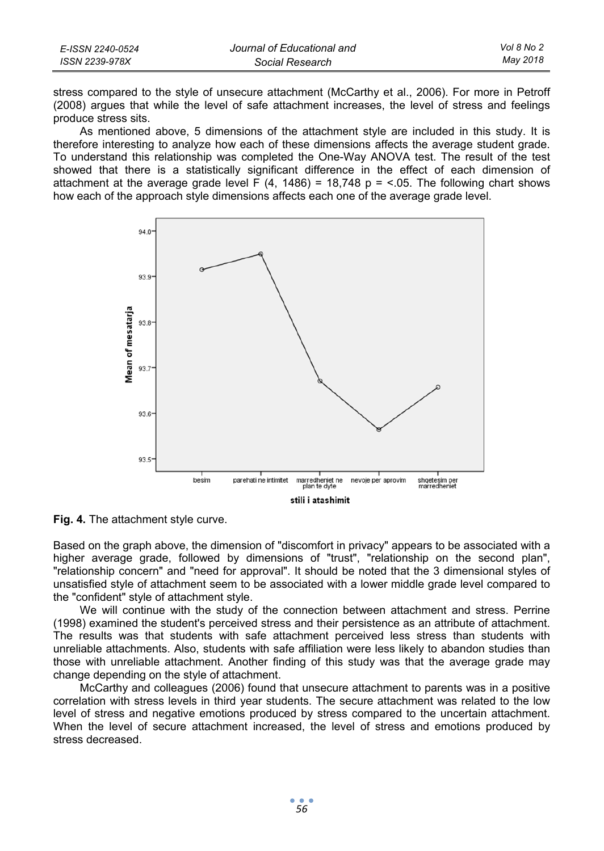| E-ISSN 2240-0524 | Journal of Educational and | Vol 8 No 2 |
|------------------|----------------------------|------------|
| ISSN 2239-978X   | Social Research            | Mav 2018   |

stress compared to the style of unsecure attachment (McCarthy et al., 2006). For more in Petroff (2008) argues that while the level of safe attachment increases, the level of stress and feelings produce stress sits.

As mentioned above, 5 dimensions of the attachment style are included in this study. It is therefore interesting to analyze how each of these dimensions affects the average student grade. To understand this relationship was completed the One-Way ANOVA test. The result of the test showed that there is a statistically significant difference in the effect of each dimension of attachment at the average grade level F  $(4, 1486) = 18,748$  p = <.05. The following chart shows how each of the approach style dimensions affects each one of the average grade level.





Based on the graph above, the dimension of "discomfort in privacy" appears to be associated with a higher average grade, followed by dimensions of "trust", "relationship on the second plan", "relationship concern" and "need for approval". It should be noted that the 3 dimensional styles of unsatisfied style of attachment seem to be associated with a lower middle grade level compared to the "confident" style of attachment style.

We will continue with the study of the connection between attachment and stress. Perrine (1998) examined the student's perceived stress and their persistence as an attribute of attachment. The results was that students with safe attachment perceived less stress than students with unreliable attachments. Also, students with safe affiliation were less likely to abandon studies than those with unreliable attachment. Another finding of this study was that the average grade may change depending on the style of attachment.

McCarthy and colleagues (2006) found that unsecure attachment to parents was in a positive correlation with stress levels in third year students. The secure attachment was related to the low level of stress and negative emotions produced by stress compared to the uncertain attachment. When the level of secure attachment increased, the level of stress and emotions produced by stress decreased.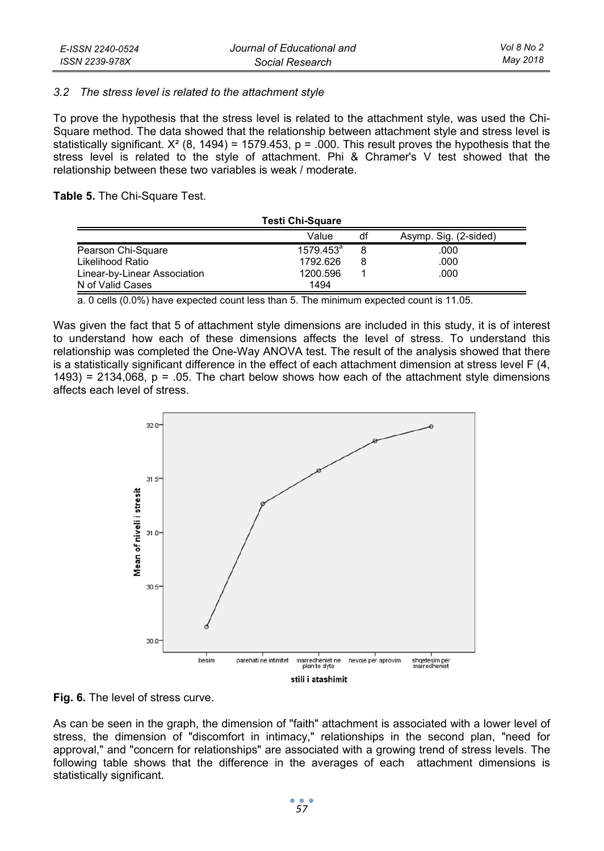### *3.2 The stress level is related to the attachment style*

To prove the hypothesis that the stress level is related to the attachment style, was used the Chi-Square method. The data showed that the relationship between attachment style and stress level is statistically significant.  $X^2$  (8, 1494) = 1579.453, p = .000. This result proves the hypothesis that the stress level is related to the style of attachment. Phi & Chramer's V test showed that the relationship between these two variables is weak / moderate.

**Table 5.** The Chi-Square Test.

|                              | <b>Testi Chi-Square</b> |    |                       |
|------------------------------|-------------------------|----|-----------------------|
|                              | Value                   | df | Asymp. Sig. (2-sided) |
| Pearson Chi-Square           | $1579.453^a$            |    | .000                  |
| Likelihood Ratio             | 1792.626                | 8  | .000                  |
| Linear-by-Linear Association | 1200.596                |    | .000                  |
| N of Valid Cases             | 1494                    |    |                       |

a. 0 cells (0.0%) have expected count less than 5. The minimum expected count is 11.05.

Was given the fact that 5 of attachment style dimensions are included in this study, it is of interest to understand how each of these dimensions affects the level of stress. To understand this relationship was completed the One-Way ANOVA test. The result of the analysis showed that there is a statistically significant difference in the effect of each attachment dimension at stress level F (4,  $1493$ ) = 2134,068, p = .05. The chart below shows how each of the attachment style dimensions affects each level of stress.



**Fig. 6.** The level of stress curve.

As can be seen in the graph, the dimension of "faith" attachment is associated with a lower level of stress, the dimension of "discomfort in intimacy," relationships in the second plan, "need for approval," and "concern for relationships" are associated with a growing trend of stress levels. The following table shows that the difference in the averages of each attachment dimensions is statistically significant.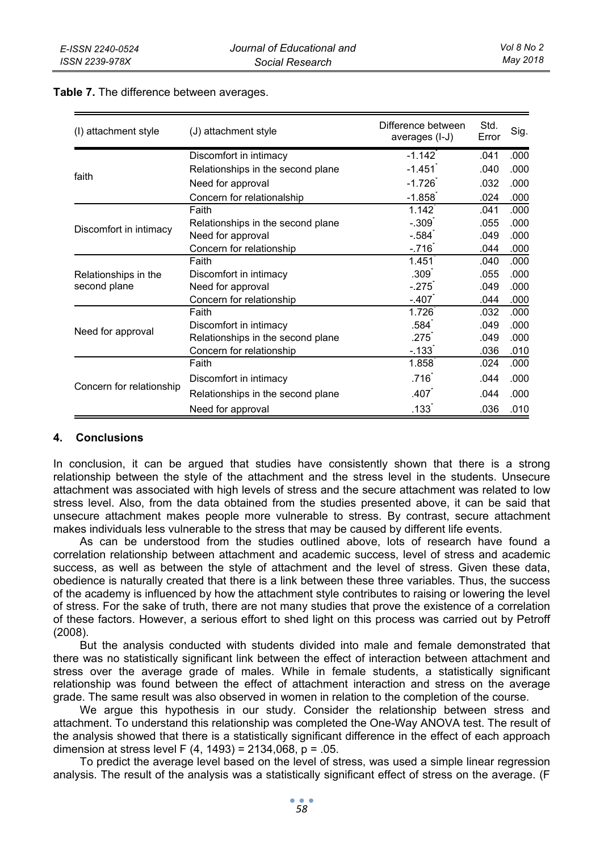| (I) attachment style     | (J) attachment style              | Difference between<br>averages (I-J) | Std.<br>Error | Sig. |
|--------------------------|-----------------------------------|--------------------------------------|---------------|------|
|                          | Discomfort in intimacy            | $-1.142$                             | .041          | .000 |
| faith                    | Relationships in the second plane | $-1.451$                             | .040          | .000 |
|                          | Need for approval                 | $-1.726$                             | .032          | .000 |
|                          | Concern for relationalship        | $-1.858$                             | .024          | .000 |
|                          | Faith                             | $1.142$ <sup>*</sup>                 | .041          | .000 |
| Discomfort in intimacy   | Relationships in the second plane | $-.309$                              | .055          | .000 |
|                          | Need for approval                 | $-.584]$                             | .049          | .000 |
|                          | Concern for relationship          | $-716$                               | .044          | .000 |
|                          | Faith                             | 1.451                                | .040          | .000 |
| Relationships in the     | Discomfort in intimacy            | .309 <sup>°</sup>                    | .055          | .000 |
| second plane             | Need for approval                 | $-275$                               | .049          | .000 |
|                          | Concern for relationship          | $-407$                               | .044          | .000 |
|                          | Faith                             | 1.726                                | .032          | .000 |
|                          | Discomfort in intimacy            | .584 <sup>°</sup>                    | .049          | .000 |
| Need for approval        | Relationships in the second plane | .275 <sup>°</sup>                    | .049          | .000 |
|                          | Concern for relationship          | $-133$ <sup>-1</sup>                 | .036          | .010 |
|                          | Faith                             | 1.858                                | .024          | .000 |
|                          | Discomfort in intimacy            | .716                                 | .044          | .000 |
| Concern for relationship | Relationships in the second plane | .407                                 | .044          | .000 |
|                          | Need for approval                 | $.133$ <sup>-1</sup>                 | .036          | .010 |

#### **Table 7.** The difference between averages.

## **4. Conclusions**

In conclusion, it can be argued that studies have consistently shown that there is a strong relationship between the style of the attachment and the stress level in the students. Unsecure attachment was associated with high levels of stress and the secure attachment was related to low stress level. Also, from the data obtained from the studies presented above, it can be said that unsecure attachment makes people more vulnerable to stress. By contrast, secure attachment makes individuals less vulnerable to the stress that may be caused by different life events.

As can be understood from the studies outlined above, lots of research have found a correlation relationship between attachment and academic success, level of stress and academic success, as well as between the style of attachment and the level of stress. Given these data, obedience is naturally created that there is a link between these three variables. Thus, the success of the academy is influenced by how the attachment style contributes to raising or lowering the level of stress. For the sake of truth, there are not many studies that prove the existence of a correlation of these factors. However, a serious effort to shed light on this process was carried out by Petroff (2008).

But the analysis conducted with students divided into male and female demonstrated that there was no statistically significant link between the effect of interaction between attachment and stress over the average grade of males. While in female students, a statistically significant relationship was found between the effect of attachment interaction and stress on the average grade. The same result was also observed in women in relation to the completion of the course.

We argue this hypothesis in our study. Consider the relationship between stress and attachment. To understand this relationship was completed the One-Way ANOVA test. The result of the analysis showed that there is a statistically significant difference in the effect of each approach dimension at stress level F (4, 1493) = 2134,068, p = .05.

To predict the average level based on the level of stress, was used a simple linear regression analysis. The result of the analysis was a statistically significant effect of stress on the average. (F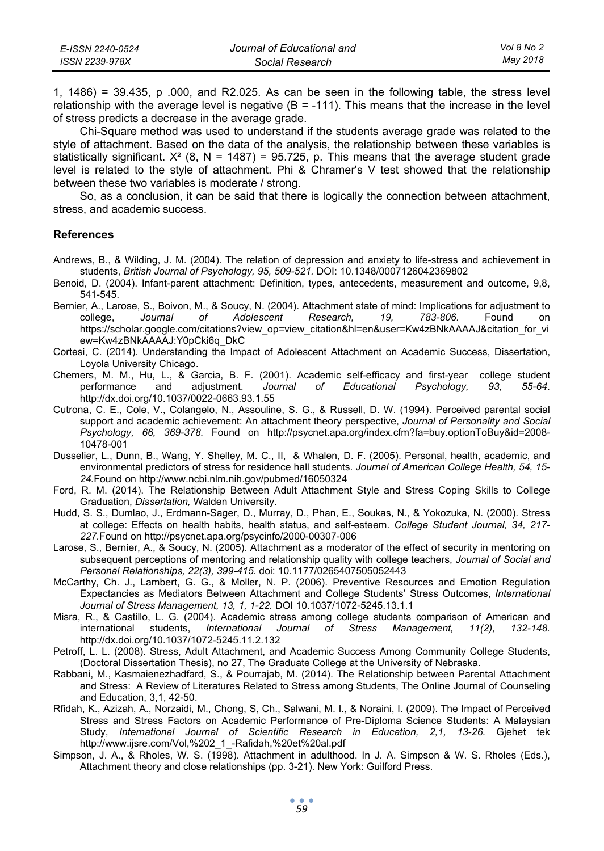| E-ISSN 2240-0524 | Journal of Educational and | Vol 8 No 2 |
|------------------|----------------------------|------------|
| ISSN 2239-978X   | Social Research            | Mav 2018   |

1, 1486) = 39.435, p .000, and R2.025. As can be seen in the following table, the stress level relationship with the average level is negative  $(B = -111)$ . This means that the increase in the level of stress predicts a decrease in the average grade.

Chi-Square method was used to understand if the students average grade was related to the style of attachment. Based on the data of the analysis, the relationship between these variables is statistically significant.  $X^2$  (8, N = 1487) = 95.725, p. This means that the average student grade level is related to the style of attachment. Phi & Chramer's V test showed that the relationship between these two variables is moderate / strong.

So, as a conclusion, it can be said that there is logically the connection between attachment, stress, and academic success.

#### **References**

- Andrews, B., & Wilding, J. M. (2004). The relation of depression and anxiety to life-stress and achievement in students, *British Journal of Psychology, 95, 509-521.* DOI: 10.1348/0007126042369802
- Benoid, D. (2004). Infant-parent attachment: Definition, types, antecedents, measurement and outcome, 9,8, 541-545.
- Bernier, A., Larose, S., Boivon, M., & Soucy, N. (2004). Attachment state of mind: Implications for adjustment to college, *Journal of Adolescent Research, 19, 783-806*. Found https://scholar.google.com/citations?view\_op=view\_citation&hl=en&user=Kw4zBNkAAAAJ&citation\_for\_vi ew=Kw4zBNkAAAAJ:Y0pCki6q\_DkC
- Cortesi, C. (2014). Understanding the Impact of Adolescent Attachment on Academic Success, Dissertation, Loyola University Chicago.
- Chemers, M. M., Hu, L., & Garcia, B. F. (2001). Academic self-efficacy and first-year college student performance and adjustment. *Journal of Educational Psychology, 93, 55-64*. http://dx.doi.org/10.1037/0022-0663.93.1.55
- Cutrona, C. E., Cole, V., Colangelo, N., Assouline, S. G., & Russell, D. W. (1994). Perceived parental social support and academic achievement: An attachment theory perspective, *Journal of Personality and Social Psychology, 66, 369-378.* Found on http://psycnet.apa.org/index.cfm?fa=buy.optionToBuy&id=2008- 10478-001
- Dusselier, L., Dunn, B., Wang, Y. Shelley, M. C., II, & Whalen, D. F. (2005). Personal, health, academic, and environmental predictors of stress for residence hall students. *Journal of American College Health, 54, 15- 24.*Found on http://www.ncbi.nlm.nih.gov/pubmed/16050324
- Ford, R. M. (2014). The Relationship Between Adult Attachment Style and Stress Coping Skills to College Graduation, *Dissertation,* Walden University.
- Hudd, S. S., Dumlao, J., Erdmann-Sager, D., Murray, D., Phan, E., Soukas, N., & Yokozuka, N. (2000). Stress at college: Effects on health habits, health status, and self-esteem. *College Student Journal, 34, 217- 227.*Found on http://psycnet.apa.org/psycinfo/2000-00307-006
- Larose, S., Bernier, A., & Soucy, N. (2005). Attachment as a moderator of the effect of security in mentoring on subsequent perceptions of mentoring and relationship quality with college teachers, *Journal of Social and Personal Relationships, 22(3), 399-415.* doi: 10.1177/0265407505052443
- McCarthy, Ch. J., Lambert, G. G., & Moller, N. P. (2006). Preventive Resources and Emotion Regulation Expectancies as Mediators Between Attachment and College Students' Stress Outcomes, *International Journal of Stress Management, 13, 1, 1-22.* DOI 10.1037/1072-5245.13.1.1
- Misra, R., & Castillo, L. G. (2004). Academic stress among college students comparison of American and international students, *International Journal of Stress Management, 11(2), 132-148.*  http://dx.doi.org/10.1037/1072-5245.11.2.132
- Petroff, L. L. (2008). Stress, Adult Attachment, and Academic Success Among Community College Students, (Doctoral Dissertation Thesis), no 27, The Graduate College at the University of Nebraska.
- Rabbani, M., Kasmaienezhadfard, S., & Pourrajab, M. (2014). The Relationship between Parental Attachment and Stress: A Review of Literatures Related to Stress among Students, The Online Journal of Counseling and Education, 3,1, 42-50.
- Rfidah, K., Azizah, A., Norzaidi, M., Chong, S, Ch., Salwani, M. I., & Noraini, I. (2009). The Impact of Perceived Stress and Stress Factors on Academic Performance of Pre-Diploma Science Students: A Malaysian Study, *International Journal of Scientific Research in Education, 2,1, 13-26.* Gjehet tek http://www.ijsre.com/Vol,%202\_1\_-Rafidah,%20et%20al.pdf
- Simpson, J. A., & Rholes, W. S. (1998). Attachment in adulthood. In J. A. Simpson & W. S. Rholes (Eds.), Attachment theory and close relationships (pp. 3-21). New York: Guilford Press.